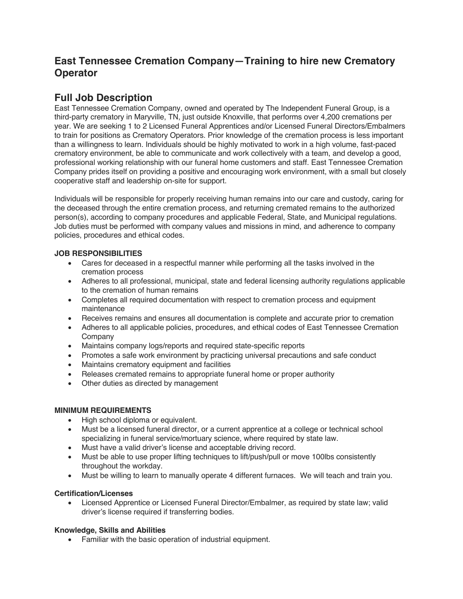# **East Tennessee Cremation Company—Training to hire new Crematory Operator**

## **Full Job Description**

East Tennessee Cremation Company, owned and operated by The Independent Funeral Group, is a third-party crematory in Maryville, TN, just outside Knoxville, that performs over 4,200 cremations per year. We are seeking 1 to 2 Licensed Funeral Apprentices and/or Licensed Funeral Directors/Embalmers to train for positions as Crematory Operators. Prior knowledge of the cremation process is less important than a willingness to learn. Individuals should be highly motivated to work in a high volume, fast-paced crematory environment, be able to communicate and work collectively with a team, and develop a good, professional working relationship with our funeral home customers and staff. East Tennessee Cremation Company prides itself on providing a positive and encouraging work environment, with a small but closely cooperative staff and leadership on-site for support.

Individuals will be responsible for properly receiving human remains into our care and custody, caring for the deceased through the entire cremation process, and returning cremated remains to the authorized person(s), according to company procedures and applicable Federal, State, and Municipal regulations. Job duties must be performed with company values and missions in mind, and adherence to company policies, procedures and ethical codes.

#### **JOB RESPONSIBILITIES**

- Cares for deceased in a respectful manner while performing all the tasks involved in the cremation process
- Adheres to all professional, municipal, state and federal licensing authority regulations applicable to the cremation of human remains
- Completes all required documentation with respect to cremation process and equipment maintenance
- Receives remains and ensures all documentation is complete and accurate prior to cremation
- Adheres to all applicable policies, procedures, and ethical codes of East Tennessee Cremation Company
- Maintains company logs/reports and required state-specific reports
- Promotes a safe work environment by practicing universal precautions and safe conduct
- Maintains crematory equipment and facilities
- Releases cremated remains to appropriate funeral home or proper authority
- Other duties as directed by management

#### **MINIMUM REQUIREMENTS**

- High school diploma or equivalent.
- Must be a licensed funeral director, or a current apprentice at a college or technical school specializing in funeral service/mortuary science, where required by state law.
- Must have a valid driver's license and acceptable driving record.
- Must be able to use proper lifting techniques to lift/push/pull or move 100lbs consistently throughout the workday.
- Must be willing to learn to manually operate 4 different furnaces. We will teach and train you.

#### **Certification/Licenses**

• Licensed Apprentice or Licensed Funeral Director/Embalmer, as required by state law; valid driver's license required if transferring bodies.

#### **Knowledge, Skills and Abilities**

Familiar with the basic operation of industrial equipment.